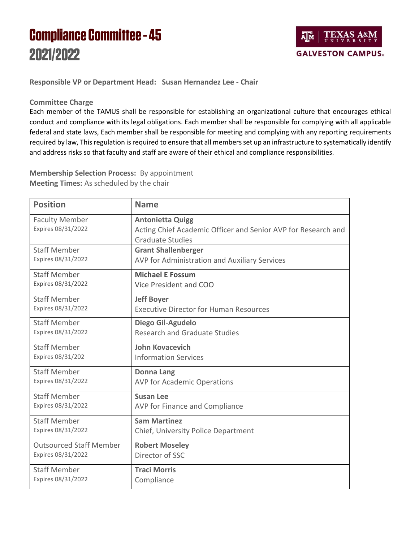## **Compliance Committee - 45** 2021/2022



**Responsible VP or Department Head: Susan Hernandez Lee - Chair**

## **Committee Charge**

Each member of the TAMUS shall be responsible for establishing an organizational culture that encourages ethical conduct and compliance with its legal obligations. Each member shall be responsible for complying with all applicable federal and state laws, Each member shall be responsible for meeting and complying with any reporting requirements required by law, This regulation is required to ensure that all members set up an infrastructure to systematically identify and address risks so that faculty and staff are aware of their ethical and compliance responsibilities.

**Membership Selection Process:** By appointment **Meeting Times:** As scheduled by the chair

| <b>Position</b>                             | <b>Name</b>                                                                                                         |
|---------------------------------------------|---------------------------------------------------------------------------------------------------------------------|
| <b>Faculty Member</b><br>Expires 08/31/2022 | <b>Antonietta Quigg</b><br>Acting Chief Academic Officer and Senior AVP for Research and<br><b>Graduate Studies</b> |
| <b>Staff Member</b>                         | <b>Grant Shallenberger</b>                                                                                          |
| Expires 08/31/2022                          | AVP for Administration and Auxiliary Services                                                                       |
| <b>Staff Member</b>                         | <b>Michael E Fossum</b>                                                                                             |
| Expires 08/31/2022                          | Vice President and COO                                                                                              |
| <b>Staff Member</b>                         | <b>Jeff Boyer</b>                                                                                                   |
| Expires 08/31/2022                          | <b>Executive Director for Human Resources</b>                                                                       |
| <b>Staff Member</b>                         | Diego Gil-Agudelo                                                                                                   |
| Expires 08/31/2022                          | <b>Research and Graduate Studies</b>                                                                                |
| <b>Staff Member</b>                         | <b>John Kovacevich</b>                                                                                              |
| Expires 08/31/202                           | <b>Information Services</b>                                                                                         |
| <b>Staff Member</b>                         | <b>Donna Lang</b>                                                                                                   |
| Expires 08/31/2022                          | <b>AVP for Academic Operations</b>                                                                                  |
| <b>Staff Member</b>                         | <b>Susan Lee</b>                                                                                                    |
| Expires 08/31/2022                          | AVP for Finance and Compliance                                                                                      |
| <b>Staff Member</b>                         | <b>Sam Martinez</b>                                                                                                 |
| Expires 08/31/2022                          | Chief, University Police Department                                                                                 |
| <b>Outsourced Staff Member</b>              | <b>Robert Moseley</b>                                                                                               |
| Expires 08/31/2022                          | Director of SSC                                                                                                     |
| <b>Staff Member</b>                         | <b>Traci Morris</b>                                                                                                 |
| Expires 08/31/2022                          | Compliance                                                                                                          |